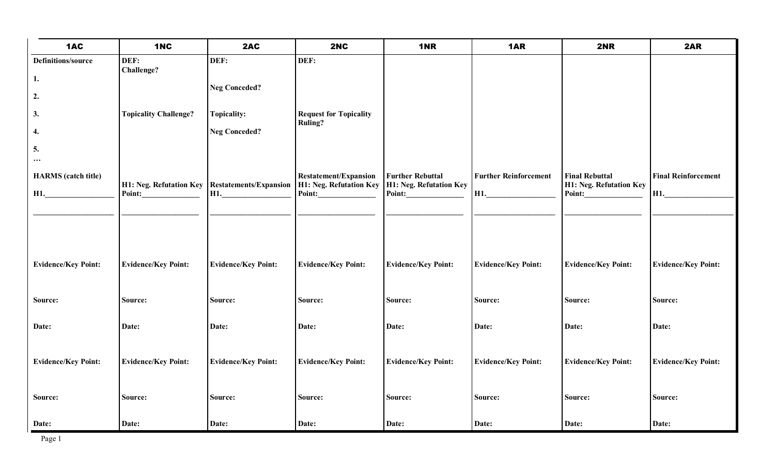| 1AC                                  | 1NC                                                        | 2AC                        | 2NC                                                               | 1NR                                                          | 1AR                                    | 2NR                                                        | 2AR                               |
|--------------------------------------|------------------------------------------------------------|----------------------------|-------------------------------------------------------------------|--------------------------------------------------------------|----------------------------------------|------------------------------------------------------------|-----------------------------------|
| <b>Definitions/source</b>            | DEF:<br>Challenge?                                         | DEF:                       | DEF:                                                              |                                                              |                                        |                                                            |                                   |
| 1.                                   |                                                            | <b>Neg Conceded?</b>       |                                                                   |                                                              |                                        |                                                            |                                   |
| 2.                                   |                                                            |                            |                                                                   |                                                              |                                        |                                                            |                                   |
| 3.                                   | <b>Topicality Challenge?</b>                               | <b>Topicality:</b>         | <b>Request for Topicality</b><br><b>Ruling?</b>                   |                                                              |                                        |                                                            |                                   |
| 4.                                   |                                                            | <b>Neg Conceded?</b>       |                                                                   |                                                              |                                        |                                                            |                                   |
| 5.<br>$\cdots$                       |                                                            |                            |                                                                   |                                                              |                                        |                                                            |                                   |
| <b>HARMS</b> (catch title)<br>$H1$ . | H1: Neg. Refutation Key   Restatements/Expansion<br>Point: | $H1$ .                     | <b>Restatement/Expansion</b><br>H1: Neg. Refutation Key<br>Point: | <b>Further Rebuttal</b><br>H1: Neg. Refutation Key<br>Point: | <b>Further Reinforcement</b><br>$H1$ . | <b>Final Rebuttal</b><br>H1: Neg. Refutation Key<br>Point: | <b>Final Reinforcement</b><br>H1. |
| <b>Evidence/Key Point:</b>           | <b>Evidence/Key Point:</b>                                 | <b>Evidence/Key Point:</b> | <b>Evidence/Key Point:</b>                                        | <b>Evidence/Key Point:</b>                                   | <b>Evidence/Key Point:</b>             | <b>Evidence/Key Point:</b>                                 | <b>Evidence/Key Point:</b>        |
| Source:                              | Source:                                                    | Source:                    | Source:                                                           | Source:                                                      | Source:                                | Source:                                                    | Source:                           |
| Date:                                | Date:                                                      | Date:                      | Date:                                                             | Date:                                                        | Date:                                  | Date:                                                      | Date:                             |
| <b>Evidence/Key Point:</b>           | <b>Evidence/Key Point:</b>                                 | <b>Evidence/Key Point:</b> | <b>Evidence/Key Point:</b>                                        | <b>Evidence/Key Point:</b>                                   | <b>Evidence/Key Point:</b>             | <b>Evidence/Key Point:</b>                                 | <b>Evidence/Key Point:</b>        |
| Source:                              | Source:                                                    | Source:                    | Source:                                                           | Source:                                                      | Source:                                | Source:                                                    | Source:                           |
| Date:                                | Date:                                                      | Date:                      | Date:                                                             | Date:                                                        | Date:                                  | Date:                                                      | Date:                             |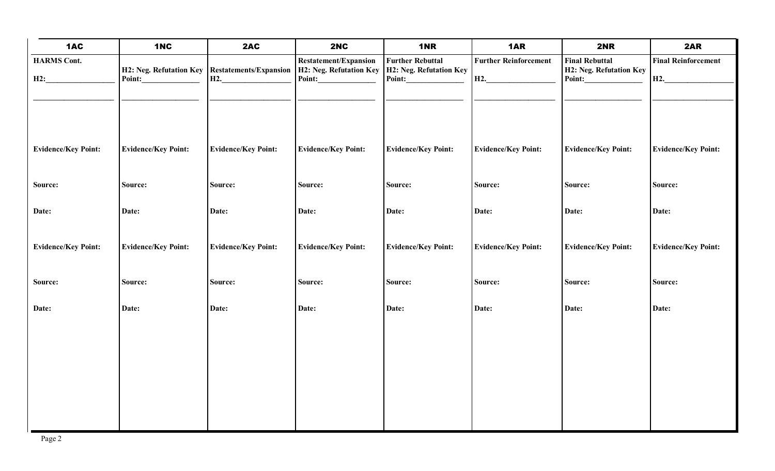| 1AC                        | 1NC                                                      | 2AC                        | 2NC                                                                      | 1NR                                                          | 1AR                                    | <b>2NR</b>                                                 | 2AR                                            |
|----------------------------|----------------------------------------------------------|----------------------------|--------------------------------------------------------------------------|--------------------------------------------------------------|----------------------------------------|------------------------------------------------------------|------------------------------------------------|
| <b>HARMS Cont.</b><br>H2:  | H2: Neg. Refutation Key Restatements/Expansion<br>Point: | H2.                        | <b>Restatement/Expansion</b><br><b>H2: Neg. Refutation Key</b><br>Point: | <b>Further Rebuttal</b><br>H2: Neg. Refutation Key<br>Point: | <b>Further Reinforcement</b><br>$H2$ . | <b>Final Rebuttal</b><br>H2: Neg. Refutation Key<br>Point: | <b>Final Reinforcement</b><br>H <sub>2</sub> . |
| <b>Evidence/Key Point:</b> | <b>Evidence/Key Point:</b>                               | <b>Evidence/Key Point:</b> | <b>Evidence/Key Point:</b>                                               | <b>Evidence/Key Point:</b>                                   | <b>Evidence/Key Point:</b>             | <b>Evidence/Key Point:</b>                                 | <b>Evidence/Key Point:</b>                     |
| Source:                    | Source:                                                  | Source:                    | Source:                                                                  | Source:                                                      | Source:                                | Source:                                                    | Source:                                        |
| Date:                      | Date:                                                    | Date:                      | Date:                                                                    | Date:                                                        | Date:                                  | Date:                                                      | Date:                                          |
| <b>Evidence/Key Point:</b> | <b>Evidence/Key Point:</b>                               | <b>Evidence/Key Point:</b> | <b>Evidence/Key Point:</b>                                               | <b>Evidence/Key Point:</b>                                   | <b>Evidence/Key Point:</b>             | <b>Evidence/Key Point:</b>                                 | <b>Evidence/Key Point:</b>                     |
| Source:                    | Source:                                                  | Source:                    | Source:                                                                  | Source:                                                      | Source:                                | Source:                                                    | Source:                                        |
| Date:                      | Date:                                                    | Date:                      | Date:                                                                    | Date:                                                        | Date:                                  | Date:                                                      | Date:                                          |
|                            |                                                          |                            |                                                                          |                                                              |                                        |                                                            |                                                |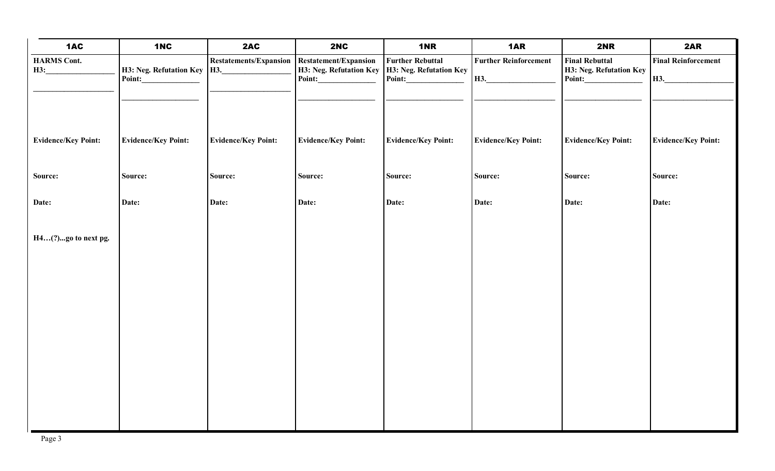| 1AC                        | 1NC                                     | 2AC                           | 2NC                                                               | 1NR                                                          | 1AR                                 | <b>2NR</b>                                                 | 2AR                               |
|----------------------------|-----------------------------------------|-------------------------------|-------------------------------------------------------------------|--------------------------------------------------------------|-------------------------------------|------------------------------------------------------------|-----------------------------------|
| <b>HARMS</b> Cont.<br>H3:  | H3: Neg. Refutation Key   H3.<br>Point: | <b>Restatements/Expansion</b> | <b>Restatement/Expansion</b><br>H3: Neg. Refutation Key<br>Point: | <b>Further Rebuttal</b><br>H3: Neg. Refutation Key<br>Point: | <b>Further Reinforcement</b><br>H3. | <b>Final Rebuttal</b><br>H3: Neg. Refutation Key<br>Point: | <b>Final Reinforcement</b><br>H3. |
|                            |                                         |                               |                                                                   |                                                              |                                     |                                                            |                                   |
| <b>Evidence/Key Point:</b> | <b>Evidence/Key Point:</b>              | <b>Evidence/Key Point:</b>    | <b>Evidence/Key Point:</b>                                        | <b>Evidence/Key Point:</b>                                   | <b>Evidence/Key Point:</b>          | <b>Evidence/Key Point:</b>                                 | <b>Evidence/Key Point:</b>        |
| Source:                    | Source:                                 | Source:                       | Source:                                                           | Source:                                                      | Source:                             | Source:                                                    | Source:                           |
| Date:                      | Date:                                   | Date:                         | Date:                                                             | Date:                                                        | Date:                               | Date:                                                      | Date:                             |
| H4(?)go to next pg.        |                                         |                               |                                                                   |                                                              |                                     |                                                            |                                   |
|                            |                                         |                               |                                                                   |                                                              |                                     |                                                            |                                   |
|                            |                                         |                               |                                                                   |                                                              |                                     |                                                            |                                   |
|                            |                                         |                               |                                                                   |                                                              |                                     |                                                            |                                   |
|                            |                                         |                               |                                                                   |                                                              |                                     |                                                            |                                   |
|                            |                                         |                               |                                                                   |                                                              |                                     |                                                            |                                   |
|                            |                                         |                               |                                                                   |                                                              |                                     |                                                            |                                   |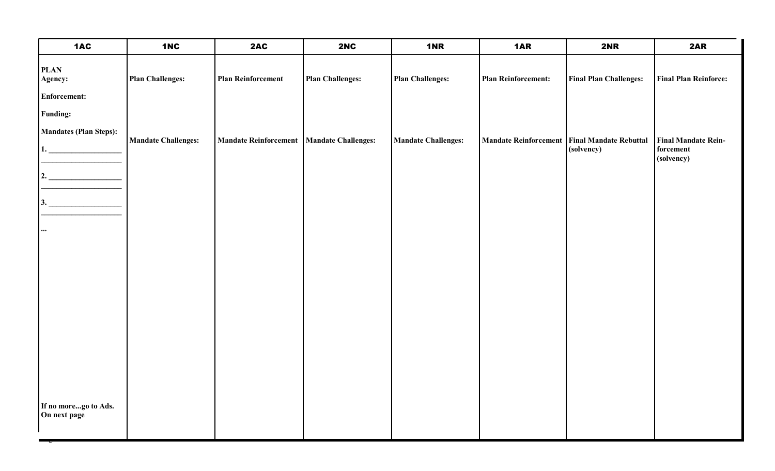| 1AC                                           | 1NC                        | 2AC                                         | 2NC                     | <b>1NR</b>                 | 1AR                                            | 2NR                           | 2AR                          |
|-----------------------------------------------|----------------------------|---------------------------------------------|-------------------------|----------------------------|------------------------------------------------|-------------------------------|------------------------------|
| <b>PLAN</b><br>Agency:<br><b>Enforcement:</b> | <b>Plan Challenges:</b>    | <b>Plan Reinforcement</b>                   | <b>Plan Challenges:</b> | <b>Plan Challenges:</b>    | <b>Plan Reinforcement:</b>                     | <b>Final Plan Challenges:</b> | <b>Final Plan Reinforce:</b> |
|                                               |                            |                                             |                         |                            |                                                |                               |                              |
| <b>Funding:</b>                               |                            |                                             |                         |                            |                                                |                               |                              |
| Mandates (Plan Steps):                        | <b>Mandate Challenges:</b> | Mandate Reinforcement   Mandate Challenges: |                         | <b>Mandate Challenges:</b> | Mandate Reinforcement   Final Mandate Rebuttal |                               | <b>Final Mandate Rein-</b>   |
| 1.                                            |                            |                                             |                         |                            |                                                | (solvency)                    | forcement<br>(solvency)      |
| 2.                                            |                            |                                             |                         |                            |                                                |                               |                              |
| 3.                                            |                            |                                             |                         |                            |                                                |                               |                              |
| $\cdots$                                      |                            |                                             |                         |                            |                                                |                               |                              |
|                                               |                            |                                             |                         |                            |                                                |                               |                              |
|                                               |                            |                                             |                         |                            |                                                |                               |                              |
|                                               |                            |                                             |                         |                            |                                                |                               |                              |
|                                               |                            |                                             |                         |                            |                                                |                               |                              |
|                                               |                            |                                             |                         |                            |                                                |                               |                              |
|                                               |                            |                                             |                         |                            |                                                |                               |                              |
| If no morego to Ads.<br>On next page          |                            |                                             |                         |                            |                                                |                               |                              |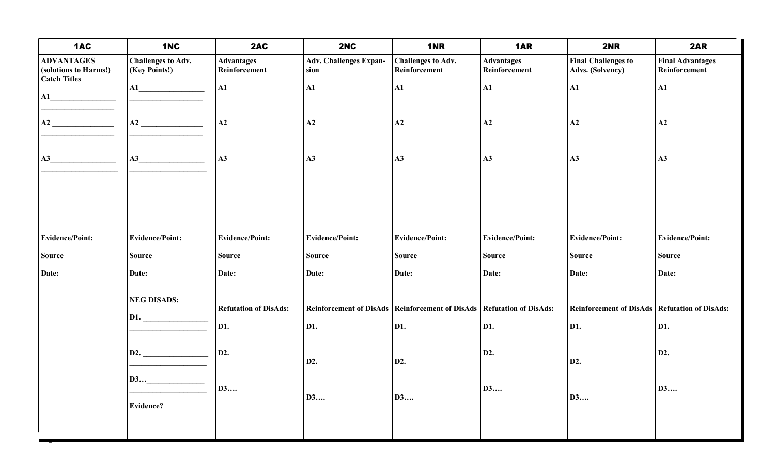| 1AC                                                               | 1NC                                        | 2AC                                | 2NC                                   | 1NR                                                                       | 1AR                                | 2NR                                             | 2AR                                      |
|-------------------------------------------------------------------|--------------------------------------------|------------------------------------|---------------------------------------|---------------------------------------------------------------------------|------------------------------------|-------------------------------------------------|------------------------------------------|
| <b>ADVANTAGES</b><br>(solutions to Harms!)<br><b>Catch Titles</b> | <b>Challenges to Adv.</b><br>(Key Points!) | <b>Advantages</b><br>Reinforcement | <b>Adv. Challenges Expan-</b><br>sion | <b>Challenges to Adv.</b><br>Reinforcement                                | <b>Advantages</b><br>Reinforcement | <b>Final Challenges to</b><br>Advs. (Solvency)  | <b>Final Advantages</b><br>Reinforcement |
| ${\bf A1}$                                                        |                                            | A1                                 | ${\bf A1}$                            | ${\bf A1}$                                                                | ${\bf A1}$                         | ${\bf A1}$                                      | $\mathbf{A1}$                            |
|                                                                   | A2                                         | A2                                 | A2                                    | A2                                                                        | A2                                 | A2                                              | A2                                       |
| $\mathbf{A3}$                                                     | A3                                         | A3                                 | A3                                    | A3                                                                        | A3                                 | A3                                              | A3                                       |
|                                                                   |                                            |                                    |                                       |                                                                           |                                    |                                                 |                                          |
|                                                                   |                                            |                                    |                                       |                                                                           |                                    |                                                 |                                          |
| <b>Evidence/Point:</b>                                            | <b>Evidence/Point:</b>                     | <b>Evidence/Point:</b>             | <b>Evidence/Point:</b>                | <b>Evidence/Point:</b>                                                    | <b>Evidence/Point:</b>             | <b>Evidence/Point:</b>                          | <b>Evidence/Point:</b>                   |
| <b>Source</b>                                                     | <b>Source</b>                              | <b>Source</b>                      | <b>Source</b>                         | <b>Source</b>                                                             | <b>Source</b>                      | <b>Source</b>                                   | <b>Source</b>                            |
| Date:                                                             | Date:                                      | Date:                              | Date:                                 | Date:                                                                     | Date:                              | Date:                                           | Date:                                    |
|                                                                   | <b>NEG DISADS:</b>                         | <b>Refutation of DisAds:</b>       |                                       | Reinforcement of DisAds   Reinforcement of DisAds   Refutation of DisAds: |                                    | Reinforcement of DisAds   Refutation of DisAds: |                                          |
|                                                                   | D1.                                        | D1.                                | D1.                                   | D1.                                                                       | D1.                                | D1.                                             | D1.                                      |
|                                                                   | D2.                                        | D2.                                |                                       |                                                                           | D2.                                |                                                 | D2.                                      |
|                                                                   | D3                                         |                                    | D2.                                   | D2.                                                                       |                                    | D2.                                             |                                          |
|                                                                   |                                            | <b>D3</b>                          | <b>D3</b>                             | D3                                                                        | D3                                 | <b>D3</b>                                       | <b>D3</b>                                |
|                                                                   | Evidence?                                  |                                    |                                       |                                                                           |                                    |                                                 |                                          |
|                                                                   |                                            |                                    |                                       |                                                                           |                                    |                                                 |                                          |